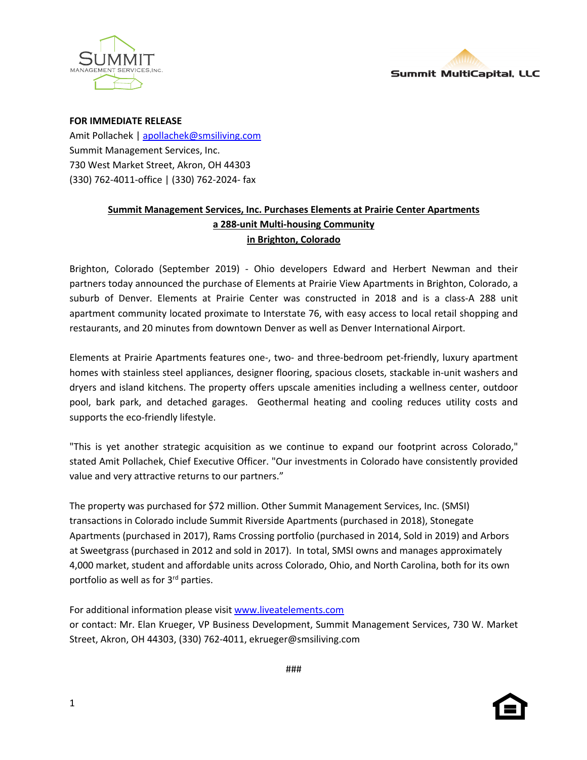



**FOR IMMEDIATE RELEASE**

Amit Pollachek | apollachek@smsiliving.com Summit Management Services, Inc. 730 West Market Street, Akron, OH 44303 (330) 762-4011-office | (330) 762-2024- fax

## **Summit Management Services, Inc. Purchases Elements at Prairie Center Apartments a 288-unit Multi-housing Community in Brighton, Colorado**

Brighton, Colorado (September 2019) - Ohio developers Edward and Herbert Newman and their partners today announced the purchase of Elements at Prairie View Apartments in Brighton, Colorado, a suburb of Denver. Elements at Prairie Center was constructed in 2018 and is a class-A 288 unit apartment community located proximate to Interstate 76, with easy access to local retail shopping and restaurants, and 20 minutes from downtown Denver as well as Denver International Airport.

Elements at Prairie Apartments features one-, two- and three-bedroom pet-friendly, luxury apartment homes with stainless steel appliances, designer flooring, spacious closets, stackable in-unit washers and dryers and island kitchens. The property offers upscale amenities including a wellness center, outdoor pool, bark park, and detached garages. Geothermal heating and cooling reduces utility costs and supports the eco-friendly lifestyle.

"This is yet another strategic acquisition as we continue to expand our footprint across Colorado," stated Amit Pollachek, Chief Executive Officer. "Our investments in Colorado have consistently provided value and very attractive returns to our partners."

The property was purchased for \$72 million. Other Summit Management Services, Inc. (SMSI) transactions in Colorado include Summit Riverside Apartments (purchased in 2018), Stonegate Apartments (purchased in 2017), Rams Crossing portfolio (purchased in 2014, Sold in 2019) and Arbors at Sweetgrass (purchased in 2012 and sold in 2017). In total, SMSI owns and manages approximately 4,000 market, student and affordable units across Colorado, Ohio, and North Carolina, both for its own portfolio as well as for 3<sup>rd</sup> parties.

For additional information please visit www.liveatelements.com

or contact: Mr. Elan Krueger, VP Business Development, Summit Management Services, 730 W. Market Street, Akron, OH 44303, (330) 762-4011, ekrueger@smsiliving.com